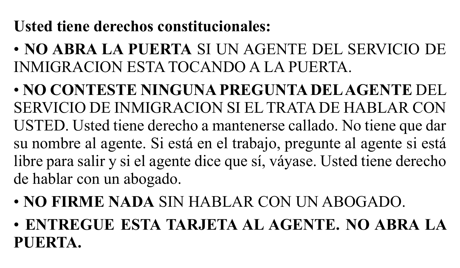## **Usted tiene derechos constitucionales:**

• **NO ABRA LA PUERTA** SI UN AGENTE DEL SERVICIO DE INMIGRACION ESTA TOCANDO A LA PUERTA.

• **NO CONTESTE NINGUNA PREGUNTA DEL AGENTE** DEL SERVICIO DE INMIGRACION SI EL TRATA DE HABLAR CON USTED. Usted tiene derecho a mantenerse callado. No tiene que dar su nombre al agente. Si está en el trabajo, pregunte al agente si está libre para salir y si el agente dice que sí, váyase. Usted tiene derecho de hablar con un abogado.

- **NO FIRME NADA** SIN HABLAR CON UN ABOGADO.
- **ENTREGUE ESTA TARJETA AL AGENTE. NO ABRA LA PUERTA.**